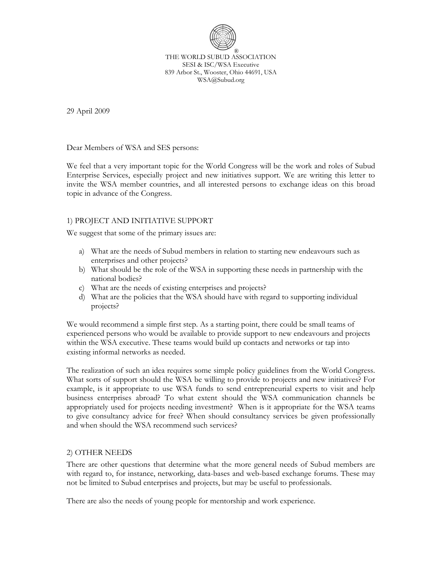

THE WORLD SUBUD ASSOCIATION SESI & ISC/WSA Executive 839 Arbor St., Wooster, Ohio 44691, USA WSA@Subud.org

29 April 2009

Dear Members of WSA and SES persons:

We feel that a very important topic for the World Congress will be the work and roles of Subud Enterprise Services, especially project and new initiatives support. We are writing this letter to invite the WSA member countries, and all interested persons to exchange ideas on this broad topic in advance of the Congress.

## 1) PROJECT AND INITIATIVE SUPPORT

We suggest that some of the primary issues are:

- a) What are the needs of Subud members in relation to starting new endeavours such as enterprises and other projects?
- b) What should be the role of the WSA in supporting these needs in partnership with the national bodies?
- c) What are the needs of existing enterprises and projects?
- d) What are the policies that the WSA should have with regard to supporting individual projects?

We would recommend a simple first step. As a starting point, there could be small teams of experienced persons who would be available to provide support to new endeavours and projects within the WSA executive. These teams would build up contacts and networks or tap into existing informal networks as needed.

The realization of such an idea requires some simple policy guidelines from the World Congress. What sorts of support should the WSA be willing to provide to projects and new initiatives? For example, is it appropriate to use WSA funds to send entrepreneurial experts to visit and help business enterprises abroad? To what extent should the WSA communication channels be appropriately used for projects needing investment? When is it appropriate for the WSA teams to give consultancy advice for free? When should consultancy services be given professionally and when should the WSA recommend such services?

## 2) OTHER NEEDS

There are other questions that determine what the more general needs of Subud members are with regard to, for instance, networking, data-bases and web-based exchange forums. These may not be limited to Subud enterprises and projects, but may be useful to professionals.

There are also the needs of young people for mentorship and work experience.